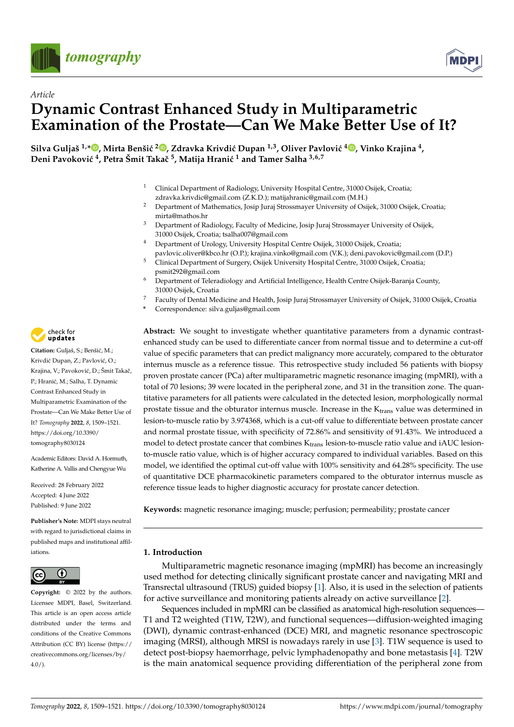



# *Article* **Dynamic Contrast Enhanced Study in Multiparametric Examination of the Prostate—Can We Make Better Use of It?**

 $\bf S$ ilva Guljaš <sup>1[,](https://orcid.org/0000-0003-4571-3197)</sup>\*®, Mirta Benšić <sup>2</sup>®, Zdravka Krivdić Dupan <sup>1,3</sup>, Oliver Pavlović <sup>4</sup>®, Vinko Krajina <sup>4</sup>, **Deni Pavokovi´c <sup>4</sup> , Petra Šmit Takaˇc <sup>5</sup> , Matija Hrani´c <sup>1</sup> and Tamer Salha 3,6,7**

- <sup>1</sup> Clinical Department of Radiology, University Hospital Centre, 31000 Osijek, Croatia; zdravka.krivdic@gmail.com (Z.K.D.); matijahranic@gmail.com (M.H.)
- <sup>2</sup> Department of Mathematics, Josip Juraj Strossmayer University of Osijek, 31000 Osijek, Croatia; mirta@mathos.hr
- <sup>3</sup> Department of Radiology, Faculty of Medicine, Josip Juraj Strossmayer University of Osijek, 31000 Osijek, Croatia; tsalha007@gmail.com
- <sup>4</sup> Department of Urology, University Hospital Centre Osijek, 31000 Osijek, Croatia; pavlovic.oliver@kbco.hr (O.P.); krajina.vinko@gmail.com (V.K.); deni.pavokovic@gmail.com (D.P.)
- <sup>5</sup> Clinical Department of Surgery, Osijek University Hospital Centre, 31000 Osijek, Croatia; psmit292@gmail.com
- <sup>6</sup> Department of Teleradiology and Artificial Intelligence, Health Centre Osijek-Baranja County, 31000 Osijek, Croatia
- <sup>7</sup> Faculty of Dental Medicine and Health, Josip Juraj Strossmayer University of Osijek, 31000 Osijek, Croatia
- **\*** Correspondence: silva.guljas@gmail.com

**Abstract:** We sought to investigate whether quantitative parameters from a dynamic contrastenhanced study can be used to differentiate cancer from normal tissue and to determine a cut-off value of specific parameters that can predict malignancy more accurately, compared to the obturator internus muscle as a reference tissue. This retrospective study included 56 patients with biopsy proven prostate cancer (PCa) after multiparametric magnetic resonance imaging (mpMRI), with a total of 70 lesions; 39 were located in the peripheral zone, and 31 in the transition zone. The quantitative parameters for all patients were calculated in the detected lesion, morphologically normal prostate tissue and the obturator internus muscle. Increase in the K<sub>trans</sub> value was determined in lesion-to-muscle ratio by 3.974368, which is a cut-off value to differentiate between prostate cancer and normal prostate tissue, with specificity of 72.86% and sensitivity of 91.43%. We introduced a model to detect prostate cancer that combines  $K_{trans}$  lesion-to-muscle ratio value and iAUC lesionto-muscle ratio value, which is of higher accuracy compared to individual variables. Based on this model, we identified the optimal cut-off value with 100% sensitivity and 64.28% specificity. The use of quantitative DCE pharmacokinetic parameters compared to the obturator internus muscle as reference tissue leads to higher diagnostic accuracy for prostate cancer detection.

**Keywords:** magnetic resonance imaging; muscle; perfusion; permeability; prostate cancer

# **1. Introduction**

Multiparametric magnetic resonance imaging (mpMRI) has become an increasingly used method for detecting clinically significant prostate cancer and navigating MRI and Transrectal ultrasound (TRUS) guided biopsy [\[1\]](#page-10-0). Also, it is used in the selection of patients for active surveillance and monitoring patients already on active surveillance [\[2\]](#page-10-1).

Sequences included in mpMRI can be classified as anatomical high-resolution sequences— T1 and T2 weighted (T1W, T2W), and functional sequences—diffusion-weighted imaging (DWI), dynamic contrast-enhanced (DCE) MRI, and magnetic resonance spectroscopic imaging (MRSI), although MRSI is nowadays rarely in use [\[3\]](#page-10-2). T1W sequence is used to detect post-biopsy haemorrhage, pelvic lymphadenopathy and bone metastasis [\[4\]](#page-10-3). T2W is the main anatomical sequence providing differentiation of the peripheral zone from



Citation: Guljaš, S.; Benšić, M.; Krivdić Dupan, Z.; Pavlović, O.; Krajina, V.; Pavoković, D.; Šmit Takač, P.; Hranić, M.; Salha, T. Dynamic Contrast Enhanced Study in Multiparametric Examination of the Prostate—Can We Make Better Use of It? *Tomography* **2022**, *8*, 1509–1521. [https://doi.org/10.3390/](https://doi.org/10.3390/tomography8030124) [tomography8030124](https://doi.org/10.3390/tomography8030124)

Academic Editors: David A. Hormuth, Katherine A. Vallis and Chengyue Wu

Received: 28 February 2022 Accepted: 4 June 2022 Published: 9 June 2022

**Publisher's Note:** MDPI stays neutral with regard to jurisdictional claims in published maps and institutional affiliations.



**Copyright:** © 2022 by the authors. Licensee MDPI, Basel, Switzerland. This article is an open access article distributed under the terms and conditions of the Creative Commons Attribution (CC BY) license [\(https://](https://creativecommons.org/licenses/by/4.0/) [creativecommons.org/licenses/by/](https://creativecommons.org/licenses/by/4.0/)  $4.0/$ ).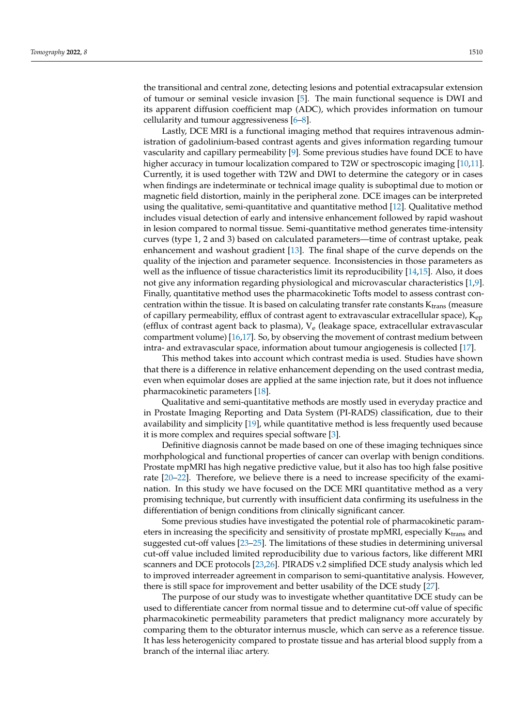the transitional and central zone, detecting lesions and potential extracapsular extension of tumour or seminal vesicle invasion [\[5\]](#page-10-4). The main functional sequence is DWI and its apparent diffusion coefficient map (ADC), which provides information on tumour cellularity and tumour aggressiveness [\[6–](#page-10-5)[8\]](#page-10-6).

Lastly, DCE MRI is a functional imaging method that requires intravenous administration of gadolinium-based contrast agents and gives information regarding tumour vascularity and capillary permeability [\[9\]](#page-10-7). Some previous studies have found DCE to have higher accuracy in tumour localization compared to T2W or spectroscopic imaging [\[10](#page-10-8)[,11\]](#page-10-9). Currently, it is used together with T2W and DWI to determine the category or in cases when findings are indeterminate or technical image quality is suboptimal due to motion or magnetic field distortion, mainly in the peripheral zone. DCE images can be interpreted using the qualitative, semi-quantitative and quantitative method [\[12\]](#page-10-10). Qualitative method includes visual detection of early and intensive enhancement followed by rapid washout in lesion compared to normal tissue. Semi-quantitative method generates time-intensity curves (type 1, 2 and 3) based on calculated parameters—time of contrast uptake, peak enhancement and washout gradient [\[13\]](#page-10-11). The final shape of the curve depends on the quality of the injection and parameter sequence. Inconsistencies in those parameters as well as the influence of tissue characteristics limit its reproducibility  $[14,15]$  $[14,15]$ . Also, it does not give any information regarding physiological and microvascular characteristics [\[1,](#page-10-0)[9\]](#page-10-7). Finally, quantitative method uses the pharmacokinetic Tofts model to assess contrast concentration within the tissue. It is based on calculating transfer rate constants  $K_{trans}$  (measure of capillary permeability, efflux of contrast agent to extravascular extracellular space), K<sub>ep</sub> (efflux of contrast agent back to plasma),  $V_e$  (leakage space, extracellular extravascular compartment volume) [\[16,](#page-10-14)[17\]](#page-10-15). So, by observing the movement of contrast medium between intra- and extravascular space, information about tumour angiogenesis is collected [\[17\]](#page-10-15).

This method takes into account which contrast media is used. Studies have shown that there is a difference in relative enhancement depending on the used contrast media, even when equimolar doses are applied at the same injection rate, but it does not influence pharmacokinetic parameters [\[18\]](#page-10-16).

Qualitative and semi-quantitative methods are mostly used in everyday practice and in Prostate Imaging Reporting and Data System (PI-RADS) classification, due to their availability and simplicity [\[19\]](#page-10-17), while quantitative method is less frequently used because it is more complex and requires special software [\[3\]](#page-10-2).

Definitive diagnosis cannot be made based on one of these imaging techniques since morhphological and functional properties of cancer can overlap with benign conditions. Prostate mpMRI has high negative predictive value, but it also has too high false positive rate [\[20–](#page-10-18)[22\]](#page-10-19). Therefore, we believe there is a need to increase specificity of the examination. In this study we have focused on the DCE MRI quantitative method as a very promising technique, but currently with insufficient data confirming its usefulness in the differentiation of benign conditions from clinically significant cancer.

Some previous studies have investigated the potential role of pharmacokinetic parameters in increasing the specificity and sensitivity of prostate mpMRI, especially  $K_{trans}$  and suggested cut-off values [\[23](#page-10-20)[–25\]](#page-11-0). The limitations of these studies in determining universal cut-off value included limited reproducibility due to various factors, like different MRI scanners and DCE protocols [\[23](#page-10-20)[,26\]](#page-11-1). PIRADS v.2 simplified DCE study analysis which led to improved interreader agreement in comparison to semi-quantitative analysis. However, there is still space for improvement and better usability of the DCE study [\[27\]](#page-11-2).

The purpose of our study was to investigate whether quantitative DCE study can be used to differentiate cancer from normal tissue and to determine cut-off value of specific pharmacokinetic permeability parameters that predict malignancy more accurately by comparing them to the obturator internus muscle, which can serve as a reference tissue. It has less heterogenicity compared to prostate tissue and has arterial blood supply from a branch of the internal iliac artery.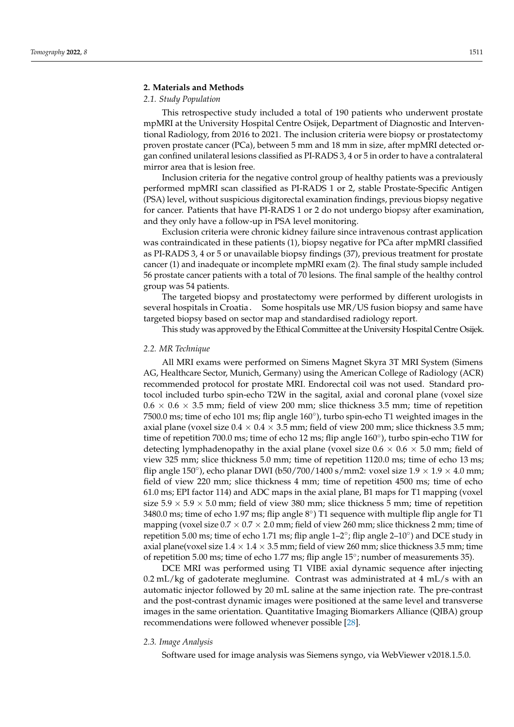# **2. Materials and Methods**

# *2.1. Study Population*

This retrospective study included a total of 190 patients who underwent prostate mpMRI at the University Hospital Centre Osijek, Department of Diagnostic and Interventional Radiology, from 2016 to 2021. The inclusion criteria were biopsy or prostatectomy proven prostate cancer (PCa), between 5 mm and 18 mm in size, after mpMRI detected organ confined unilateral lesions classified as PI-RADS 3, 4 or 5 in order to have a contralateral mirror area that is lesion free.

Inclusion criteria for the negative control group of healthy patients was a previously performed mpMRI scan classified as PI-RADS 1 or 2, stable Prostate-Specific Antigen (PSA) level, without suspicious digitorectal examination findings, previous biopsy negative for cancer. Patients that have PI-RADS 1 or 2 do not undergo biopsy after examination, and they only have a follow-up in PSA level monitoring.

Exclusion criteria were chronic kidney failure since intravenous contrast application was contraindicated in these patients (1), biopsy negative for PCa after mpMRI classified as PI-RADS 3, 4 or 5 or unavailable biopsy findings (37), previous treatment for prostate cancer (1) and inadequate or incomplete mpMRI exam (2). The final study sample included 56 prostate cancer patients with a total of 70 lesions. The final sample of the healthy control group was 54 patients.

The targeted biopsy and prostatectomy were performed by different urologists in several hospitals in Croatia. Some hospitals use MR/US fusion biopsy and same have targeted biopsy based on sector map and standardised radiology report.

This study was approved by the Ethical Committee at the University Hospital Centre Osijek.

# *2.2. MR Technique*

All MRI exams were performed on Simens Magnet Skyra 3T MRI System (Simens AG, Healthcare Sector, Munich, Germany) using the American College of Radiology (ACR) recommended protocol for prostate MRI. Endorectal coil was not used. Standard protocol included turbo spin-echo T2W in the sagital, axial and coronal plane (voxel size  $0.6 \times 0.6 \times 3.5$  mm; field of view 200 mm; slice thickness 3.5 mm; time of repetition 7500.0 ms; time of echo 101 ms; flip angle 160°), turbo spin-echo T1 weighted images in the axial plane (voxel size  $0.4 \times 0.4 \times 3.5$  mm; field of view 200 mm; slice thickness 3.5 mm; time of repetition 700.0 ms; time of echo 12 ms; flip angle 160°), turbo spin-echo T1W for detecting lymphadenopathy in the axial plane (voxel size  $0.6 \times 0.6 \times 5.0$  mm; field of view 325 mm; slice thickness 5.0 mm; time of repetition 1120.0 ms; time of echo 13 ms; flip angle 150°), echo planar DWI (b50/700/1400 s/mm2: voxel size  $1.9 \times 1.9 \times 4.0$  mm; field of view 220 mm; slice thickness 4 mm; time of repetition 4500 ms; time of echo 61.0 ms; EPI factor 114) and ADC maps in the axial plane, B1 maps for T1 mapping (voxel size  $5.9 \times 5.9 \times 5.0$  mm; field of view 380 mm; slice thickness 5 mm; time of repetition 3480.0 ms; time of echo 1.97 ms; flip angle  $8^{\circ}$ ) T1 sequence with multiple flip angle for T1 mapping (voxel size  $0.7 \times 0.7 \times 2.0$  mm; field of view 260 mm; slice thickness 2 mm; time of repetition 5.00 ms; time of echo 1.71 ms; flip angle 1–2◦ ; flip angle 2–10◦ ) and DCE study in axial plane(voxel size  $1.4 \times 1.4 \times 3.5$  mm; field of view 260 mm; slice thickness 3.5 mm; time of repetition 5.00 ms; time of echo 1.77 ms; flip angle 15°; number of measurements 35).

DCE MRI was performed using T1 VIBE axial dynamic sequence after injecting 0.2 mL/kg of gadoterate meglumine. Contrast was administrated at 4 mL/s with an automatic injector followed by 20 mL saline at the same injection rate. The pre-contrast and the post-contrast dynamic images were positioned at the same level and transverse images in the same orientation. Quantitative Imaging Biomarkers Alliance (QIBA) group recommendations were followed whenever possible [\[28\]](#page-11-3).

# *2.3. Image Analysis*

Software used for image analysis was Siemens syngo, via WebViewer v2018.1.5.0.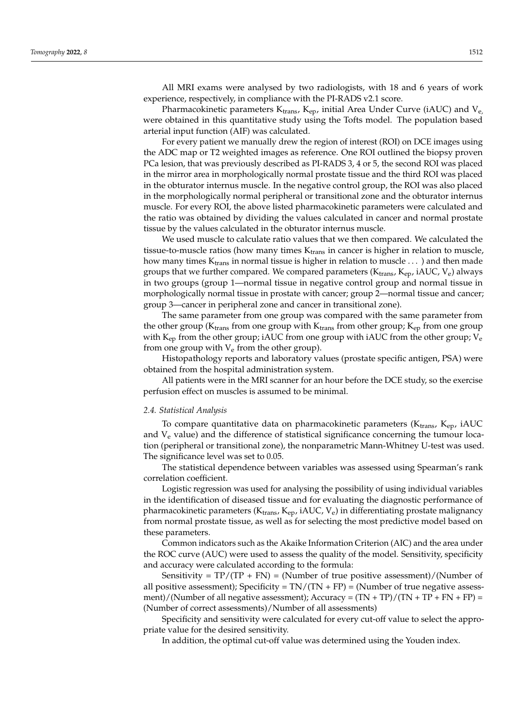All MRI exams were analysed by two radiologists, with 18 and 6 years of work experience, respectively, in compliance with the PI-RADS v2.1 score.

Pharmacokinetic parameters  $K_{trans}$ ,  $K_{ep}$ , initial Area Under Curve (iAUC) and  $V_{e}$ , were obtained in this quantitative study using the Tofts model. The population based arterial input function (AIF) was calculated.

For every patient we manually drew the region of interest (ROI) on DCE images using the ADC map or T2 weighted images as reference. One ROI outlined the biopsy proven PCa lesion, that was previously described as PI-RADS 3, 4 or 5, the second ROI was placed in the mirror area in morphologically normal prostate tissue and the third ROI was placed in the obturator internus muscle. In the negative control group, the ROI was also placed in the morphologically normal peripheral or transitional zone and the obturator internus muscle. For every ROI, the above listed pharmacokinetic parameters were calculated and the ratio was obtained by dividing the values calculated in cancer and normal prostate tissue by the values calculated in the obturator internus muscle.

We used muscle to calculate ratio values that we then compared. We calculated the tissue-to-muscle ratios (how many times  $K<sub>trans</sub>$  in cancer is higher in relation to muscle, how many times  $K_{trans}$  in normal tissue is higher in relation to muscle ... ) and then made groups that we further compared. We compared parameters ( $K_{trans}$ ,  $K_{ep}$ , iAUC,  $V_e$ ) always in two groups (group 1—normal tissue in negative control group and normal tissue in morphologically normal tissue in prostate with cancer; group 2—normal tissue and cancer; group 3—cancer in peripheral zone and cancer in transitional zone).

The same parameter from one group was compared with the same parameter from the other group ( $K_{trans}$  from one group with  $K_{trans}$  from other group;  $K_{ep}$  from one group with  $K_{ep}$  from the other group; iAUC from one group with iAUC from the other group;  $V_e$ from one group with  $V_e$  from the other group).

Histopathology reports and laboratory values (prostate specific antigen, PSA) were obtained from the hospital administration system.

All patients were in the MRI scanner for an hour before the DCE study, so the exercise perfusion effect on muscles is assumed to be minimal.

# *2.4. Statistical Analysis*

To compare quantitative data on pharmacokinetic parameters ( $K_{trans}$ ,  $K_{ep}$ , iAUC and  $V_e$  value) and the difference of statistical significance concerning the tumour location (peripheral or transitional zone), the nonparametric Mann-Whitney U-test was used. The significance level was set to 0.05.

The statistical dependence between variables was assessed using Spearman's rank correlation coefficient.

Logistic regression was used for analysing the possibility of using individual variables in the identification of diseased tissue and for evaluating the diagnostic performance of pharmacokinetic parameters ( $K_{trans}$ ,  $K_{ep}$ , iAUC,  $V_e$ ) in differentiating prostate malignancy from normal prostate tissue, as well as for selecting the most predictive model based on these parameters.

Common indicators such as the Akaike Information Criterion (AIC) and the area under the ROC curve (AUC) were used to assess the quality of the model. Sensitivity, specificity and accuracy were calculated according to the formula:

Sensitivity =  $TP/(TP + FN)$  = (Number of true positive assessment)/(Number of all positive assessment); Specificity =  $TN/(TN + FP)$  = (Number of true negative assessment)/(Number of all negative assessment); Accuracy =  $(TN + TP)/(TN + TP + FN + FP)$  = (Number of correct assessments)/Number of all assessments)

Specificity and sensitivity were calculated for every cut-off value to select the appropriate value for the desired sensitivity.

In addition, the optimal cut-off value was determined using the Youden index.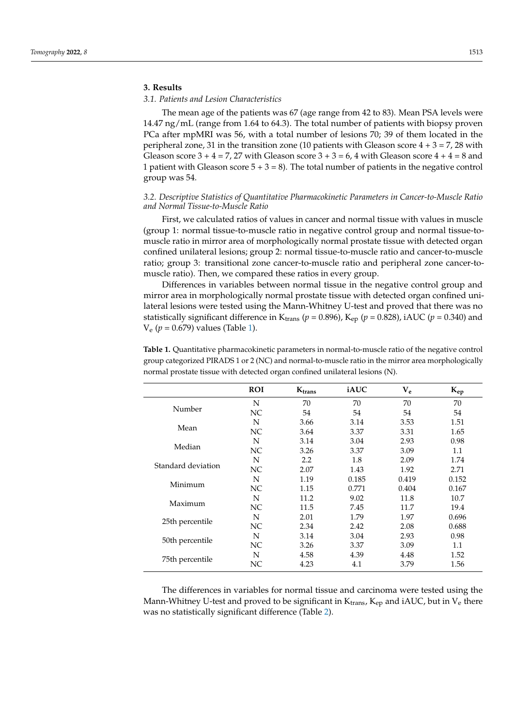# **3. Results**

# *3.1. Patients and Lesion Characteristics*

The mean age of the patients was 67 (age range from 42 to 83). Mean PSA levels were 14.47 ng/mL (range from 1.64 to 64.3). The total number of patients with biopsy proven PCa after mpMRI was 56, with a total number of lesions 70; 39 of them located in the peripheral zone, 31 in the transition zone (10 patients with Gleason score  $4 + 3 = 7$ , 28 with Gleason score  $3 + 4 = 7$ , 27 with Gleason score  $3 + 3 = 6$ , 4 with Gleason score  $4 + 4 = 8$  and 1 patient with Gleason score  $5 + 3 = 8$ ). The total number of patients in the negative control group was 54.

# *3.2. Descriptive Statistics of Quantitative Pharmacokinetic Parameters in Cancer-to-Muscle Ratio and Normal Tissue-to-Muscle Ratio*

First, we calculated ratios of values in cancer and normal tissue with values in muscle (group 1: normal tissue-to-muscle ratio in negative control group and normal tissue-tomuscle ratio in mirror area of morphologically normal prostate tissue with detected organ confined unilateral lesions; group 2: normal tissue-to-muscle ratio and cancer-to-muscle ratio; group 3: transitional zone cancer-to-muscle ratio and peripheral zone cancer-tomuscle ratio). Then, we compared these ratios in every group.

Differences in variables between normal tissue in the negative control group and mirror area in morphologically normal prostate tissue with detected organ confined unilateral lesions were tested using the Mann-Whitney U-test and proved that there was no statistically significant difference in K<sub>trans</sub> ( $p = 0.896$ ), K<sub>ep</sub> ( $p = 0.828$ ), iAUC ( $p = 0.340$ ) and V<sup>e</sup> (*p* = 0.679) values (Table [1\)](#page-4-0).

|                    | <b>ROI</b> | $K_{trans}$ | iAUC  | $V_e$ | $K_{ep}$ |
|--------------------|------------|-------------|-------|-------|----------|
|                    | N          | 70          | 70    | 70    | 70       |
| Number             | NC         | 54          | 54    | 54    | 54       |
|                    | N          | 3.66        | 3.14  | 3.53  | 1.51     |
| Mean               | NC         | 3.64        | 3.37  | 3.31  | 1.65     |
|                    | N          | 3.14        | 3.04  | 2.93  | 0.98     |
| Median             | NC.        | 3.26        | 3.37  | 3.09  | 1.1      |
|                    | N          | 2.2         | 1.8   | 2.09  | 1.74     |
| Standard deviation | NC         | 2.07        | 1.43  | 1.92  | 2.71     |
|                    | N          | 1.19        | 0.185 | 0.419 | 0.152    |
| Minimum            | NC         | 1.15        | 0.771 | 0.404 | 0.167    |
|                    | N          | 11.2        | 9.02  | 11.8  | 10.7     |
| Maximum            | NC.        | 11.5        | 7.45  | 11.7  | 19.4     |
|                    | N          | 2.01        | 1.79  | 1.97  | 0.696    |
| 25th percentile    | NC.        | 2.34        | 2.42  | 2.08  | 0.688    |
|                    | N          | 3.14        | 3.04  | 2.93  | 0.98     |
| 50th percentile    | NC         | 3.26        | 3.37  | 3.09  | 1.1      |
|                    | N          | 4.58        | 4.39  | 4.48  | 1.52     |
| 75th percentile    | NС         | 4.23        | 4.1   | 3.79  | 1.56     |

<span id="page-4-0"></span>**Table 1.** Quantitative pharmacokinetic parameters in normal-to-muscle ratio of the negative control group categorized PIRADS 1 or 2 (NC) and normal-to-muscle ratio in the mirror area morphologically normal prostate tissue with detected organ confined unilateral lesions (N).

The differences in variables for normal tissue and carcinoma were tested using the Mann-Whitney U-test and proved to be significant in  $K_{trans}$ ,  $K_{ep}$  and iAUC, but in  $V_e$  there was no statistically significant difference (Table [2\)](#page-5-0).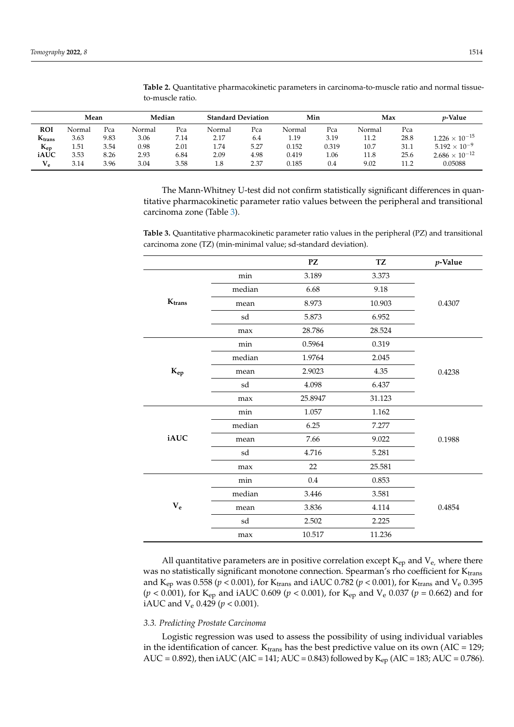|             | Mean   |      | Median |      | <b>Standard Deviation</b> |      | Min    |       | Max    |      | <i>p</i> -Value         |
|-------------|--------|------|--------|------|---------------------------|------|--------|-------|--------|------|-------------------------|
| <b>ROI</b>  | Normal | Pca  | Normal | Pca  | Normal                    | Pca  | Normal | Pca   | Normal | Pca  |                         |
| $K_{trans}$ | 3.63   | 9.83 | 3.06   | 7.14 | 2.17                      | 6.4  | 1.19   | 3.19  | 11.2   | 28.8 | $1.226 \times 10^{-15}$ |
| $K_{ep}$    | 1.51   | 3.54 | 0.98   | 2.01 | 1.74                      | 5.27 | 0.152  | 0.319 | 10.7   | 31.1 | $5.192 \times 10^{-9}$  |
| iAUC        | 3.53   | 8.26 | 2.93   | 6.84 | 2.09                      | 4.98 | 0.419  | 1.06  | 11.8   | 25.6 | $2.686 \times 10^{-12}$ |
| $V_e$       | 3.14   | 3.96 | 3.04   | 3.58 | 1.8                       | 2.37 | 0.185  | 0.4   | 9.02   | 11.2 | 0.05088                 |

<span id="page-5-0"></span>**Table 2.** Quantitative pharmacokinetic parameters in carcinoma-to-muscle ratio and normal tissueto-muscle ratio.

The Mann-Whitney U-test did not confirm statistically significant differences in quantitative pharmacokinetic parameter ratio values between the peripheral and transitional carcinoma zone (Table [3\)](#page-5-1).

<span id="page-5-1"></span>**Table 3.** Quantitative pharmacokinetic parameter ratio values in the peripheral (PZ) and transitional carcinoma zone (TZ) (min-minimal value; sd-standard deviation).

|                   |                     | PZ      | <b>TZ</b> | $p$ -Value |
|-------------------|---------------------|---------|-----------|------------|
|                   | min                 | 3.189   | 3.373     |            |
|                   | median              | 6.68    | 9.18      |            |
| $K_{trans}$       | mean                | 8.973   | 10.903    | 0.4307     |
|                   | sd                  | 5.873   | 6.952     |            |
|                   | max                 | 28.786  | 28.524    |            |
|                   | min                 | 0.5964  | 0.319     |            |
|                   | median              | 1.9764  | 2.045     |            |
| $\mathbf{K}_{ep}$ | mean                | 2.9023  | 4.35      | 0.4238     |
|                   | $\operatorname{sd}$ | 4.098   | 6.437     |            |
|                   | max                 | 25.8947 | 31.123    |            |
|                   | min                 | 1.057   | 1.162     |            |
|                   | median              | 6.25    | 7.277     |            |
| iAUC              | mean                | 7.66    | 9.022     | 0.1988     |
|                   | sd                  | 4.716   | 5.281     |            |
|                   | max                 | 22      | 25.581    |            |
|                   | min                 | 0.4     | 0.853     |            |
|                   | median              | 3.446   | 3.581     |            |
| $\mathbf{V_{e}}$  | mean                | 3.836   | 4.114     | 0.4854     |
|                   | sd                  | 2.502   | 2.225     |            |
|                   | max                 | 10.517  | 11.236    |            |

All quantitative parameters are in positive correlation except  $K_{ep}$  and  $V_{e}$ , where there was no statistically significant monotone connection. Spearman's rho coefficient for Ktrans and K<sub>ep</sub> was 0.558 ( $p < 0.001$ ), for K<sub>trans</sub> and iAUC 0.782 ( $p < 0.001$ ), for K<sub>trans</sub> and V<sub>e</sub> 0.395 (*p* < 0.001), for Kep and iAUC 0.609 (*p* < 0.001), for Kep and V<sup>e</sup> 0.037 (*p* = 0.662) and for iAUC and V<sup>e</sup> 0.429 (*p* < 0.001).

# *3.3. Predicting Prostate Carcinoma*

Logistic regression was used to assess the possibility of using individual variables in the identification of cancer.  $K_{trans}$  has the best predictive value on its own (AIC = 129; AUC = 0.892), then  $iAUC$  (AIC = 141; AUC = 0.843) followed by  $K_{ep}$  (AIC = 183; AUC = 0.786).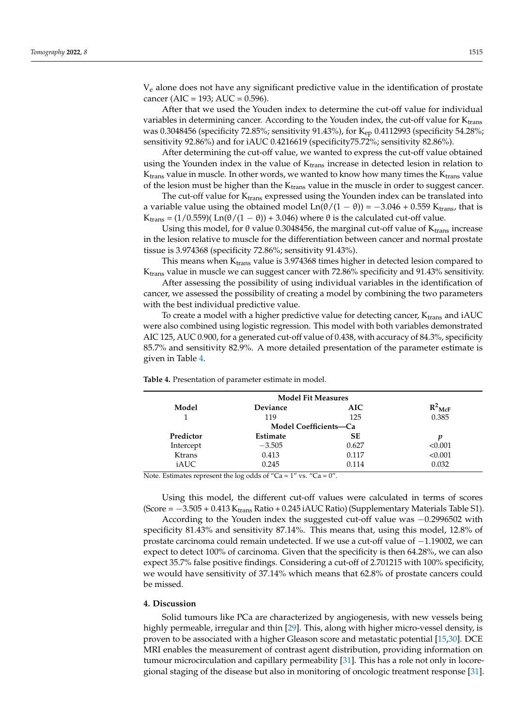V<sup>e</sup> alone does not have any significant predictive value in the identification of prostate cancer (AIC = 193; AUC =  $0.596$ ).

After that we used the Youden index to determine the cut-off value for individual variables in determining cancer. According to the Youden index, the cut-off value for  $K_{trans}$ was 0.3048456 (specificity 72.85%; sensitivity 91.43%), for  $K_{ep}$  0.4112993 (specificity 54.28%; sensitivity 92.86%) and for iAUC 0.4216619 (specificity75.72%; sensitivity 82.86%).

After determining the cut-off value, we wanted to express the cut-off value obtained using the Younden index in the value of  $K<sub>trans</sub>$  increase in detected lesion in relation to  $K<sub>trans</sub>$  value in muscle. In other words, we wanted to know how many times the  $K<sub>trans</sub>$  value of the lesion must be higher than the  $K_{trans}$  value in the muscle in order to suggest cancer.

The cut-off value for  $K_{trans}$  expressed using the Younden index can be translated into a variable value using the obtained model  $Ln(\theta/(1 - \theta)) = -3.046 + 0.559$  K<sub>trans</sub>, that is K<sub>trans</sub> = (1/0.559)(Ln( $\theta$ /(1 –  $\theta$ )) + 3.046) where  $\theta$  is the calculated cut-off value.

Using this model, for  $\theta$  value 0.3048456, the marginal cut-off value of  $K_{trans}$  increase in the lesion relative to muscle for the differentiation between cancer and normal prostate tissue is 3.974368 (specificity 72.86%; sensitivity 91.43%).

This means when K<sub>trans</sub> value is 3.974368 times higher in detected lesion compared to Ktrans value in muscle we can suggest cancer with 72.86% specificity and 91.43% sensitivity.

After assessing the possibility of using individual variables in the identification of cancer, we assessed the possibility of creating a model by combining the two parameters with the best individual predictive value.

To create a model with a higher predictive value for detecting cancer,  $K_{trans}$  and iAUC were also combined using logistic regression. This model with both variables demonstrated AIC 125, AUC 0.900, for a generated cut-off value of 0.438, with accuracy of 84.3%, specificity 85.7% and sensitivity 82.9%. A more detailed presentation of the parameter estimate is given in Table [4.](#page-6-0)

| <b>Model Fit Measures</b> |                              |           |                      |  |  |  |  |
|---------------------------|------------------------------|-----------|----------------------|--|--|--|--|
| Model                     | Deviance                     | AIC.      | $R^2$ <sub>McF</sub> |  |  |  |  |
|                           | 119                          | 125       | 0.385                |  |  |  |  |
|                           | <b>Model Coefficients-Ca</b> |           |                      |  |  |  |  |
| Predictor                 | Estimate                     | <b>SE</b> | p                    |  |  |  |  |
| Intercept                 | $-3.505$                     | 0.627     | < 0.001              |  |  |  |  |
| <b>Ktrans</b>             | 0.413                        | 0.117     | < 0.001              |  |  |  |  |
| iAUC                      | 0.245                        | 0.114     | 0.032                |  |  |  |  |

<span id="page-6-0"></span>**Table 4.** Presentation of parameter estimate in model.

Note. Estimates represent the log odds of "Ca =  $1$ " vs. "Ca =  $0$ ".

Using this model, the different cut-off values were calculated in terms of scores (Score =  $-3.505 + 0.413$  K<sub>trans</sub> Ratio + 0.245 iAUC Ratio) (Supplementary Materials Table S1).

According to the Youden index the suggested cut-off value was −0.2996502 with specificity 81.43% and sensitivity 87.14%. This means that, using this model, 12.8% of prostate carcinoma could remain undetected. If we use a cut-off value of −1.19002, we can expect to detect 100% of carcinoma. Given that the specificity is then 64.28%, we can also expect 35.7% false positive findings. Considering a cut-off of 2.701215 with 100% specificity, we would have sensitivity of 37.14% which means that 62.8% of prostate cancers could be missed.

# **4. Discussion**

Solid tumours like PCa are characterized by angiogenesis, with new vessels being highly permeable, irregular and thin [\[29\]](#page-11-4). This, along with higher micro-vessel density, is proven to be associated with a higher Gleason score and metastatic potential [\[15,](#page-10-13)[30\]](#page-11-5). DCE MRI enables the measurement of contrast agent distribution, providing information on tumour microcirculation and capillary permeability [\[31\]](#page-11-6). This has a role not only in locoregional staging of the disease but also in monitoring of oncologic treatment response [\[31\]](#page-11-6).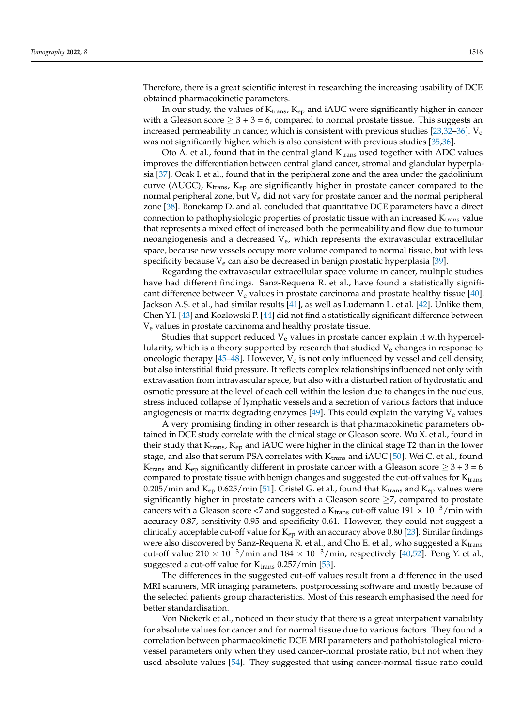Therefore, there is a great scientific interest in researching the increasing usability of DCE obtained pharmacokinetic parameters.

In our study, the values of  $K<sub>trans</sub>$ ,  $K<sub>ep</sub>$  and iAUC were significantly higher in cancer with a Gleason score  $\geq 3 + 3 = 6$ , compared to normal prostate tissue. This suggests an increased permeability in cancer, which is consistent with previous studies [\[23,](#page-10-20)[32](#page-11-7)-36].  $V_e$ was not significantly higher, which is also consistent with previous studies [\[35](#page-11-9)[,36\]](#page-11-8).

Oto A. et al., found that in the central gland  $K_{trans}$  used together with ADC values improves the differentiation between central gland cancer, stromal and glandular hyperplasia [\[37\]](#page-11-10). Ocak I. et al., found that in the peripheral zone and the area under the gadolinium curve (AUGC),  $K_{trans}$ ,  $K_{ep}$  are significantly higher in prostate cancer compared to the normal peripheral zone, but  $V_e$  did not vary for prostate cancer and the normal peripheral zone [\[38\]](#page-11-11). Bonekamp D. and al. concluded that quantitative DCE parameters have a direct connection to pathophysiologic properties of prostatic tissue with an increased Ktrans value that represents a mixed effect of increased both the permeability and flow due to tumour neoangiogenesis and a decreased  $V_e$ , which represents the extravascular extracellular space, because new vessels occupy more volume compared to normal tissue, but with less specificity because  $V_e$  can also be decreased in benign prostatic hyperplasia [\[39\]](#page-11-12).

Regarding the extravascular extracellular space volume in cancer, multiple studies have had different findings. Sanz-Requena R. et al., have found a statistically significant difference between  $V_e$  values in prostate carcinoma and prostate healthy tissue [\[40\]](#page-11-13). Jackson A.S. et al., had similar results [\[41\]](#page-11-14), as well as Ludemann L. et al. [\[42\]](#page-11-15). Unlike them, Chen Y.I. [\[43\]](#page-11-16) and Kozlowski P. [\[44\]](#page-11-17) did not find a statistically significant difference between Ve values in prostate carcinoma and healthy prostate tissue.

Studies that support reduced  $V_e$  values in prostate cancer explain it with hypercellularity, which is a theory supported by research that studied  $V_e$  changes in response to oncologic therapy [\[45](#page-11-18)[–48\]](#page-12-0). However,  $V_e$  is not only influenced by vessel and cell density, but also interstitial fluid pressure. It reflects complex relationships influenced not only with extravasation from intravascular space, but also with a disturbed ration of hydrostatic and osmotic pressure at the level of each cell within the lesion due to changes in the nucleus, stress induced collapse of lymphatic vessels and a secretion of various factors that induce angiogenesis or matrix degrading enzymes  $[49]$ . This could explain the varying  $V_e$  values.

A very promising finding in other research is that pharmacokinetic parameters obtained in DCE study correlate with the clinical stage or Gleason score. Wu X. et al., found in their study that  $K_{trans}$ ,  $K_{ep}$  and iAUC were higher in the clinical stage T2 than in the lower stage, and also that serum PSA correlates with  $K_{trans}$  and iAUC [\[50\]](#page-12-2). Wei C. et al., found K<sub>trans</sub> and K<sub>ep</sub> significantly different in prostate cancer with a Gleason score  $\geq 3 + 3 = 6$ compared to prostate tissue with benign changes and suggested the cut-off values for  $K_{trans}$ 0.205/min and  $K_{ep}$  0.625/min [\[51\]](#page-12-3). Cristel G. et al., found that  $K_{trans}$  and  $K_{ep}$  values were significantly higher in prostate cancers with a Gleason score  $\geq$ 7, compared to prostate cancers with a Gleason score <7 and suggested a K<sub>trans</sub> cut-off value  $191 \times 10^{-3}$ /min with accuracy 0.87, sensitivity 0.95 and specificity 0.61. However, they could not suggest a clinically acceptable cut-off value for  $K_{ep}$  with an accuracy above 0.80 [\[23\]](#page-10-20). Similar findings were also discovered by Sanz-Requena R. et al., and Cho E. et al., who suggested a  $K_{trans}$ cut-off value 210 ×  $10^{-3}/$ min and  $184 \times 10^{-3}/$ min, respectively [\[40,](#page-11-13)[52\]](#page-12-4). Peng Y. et al., suggested a cut-off value for  $K_{trans}$  0.257/min [\[53\]](#page-12-5).

The differences in the suggested cut-off values result from a difference in the used MRI scanners, MR imaging parameters, postprocessing software and mostly because of the selected patients group characteristics. Most of this research emphasised the need for better standardisation.

Von Niekerk et al., noticed in their study that there is a great interpatient variability for absolute values for cancer and for normal tissue due to various factors. They found a correlation between pharmacokinetic DCE MRI parameters and pathohistological microvessel parameters only when they used cancer-normal prostate ratio, but not when they used absolute values [\[54\]](#page-12-6). They suggested that using cancer-normal tissue ratio could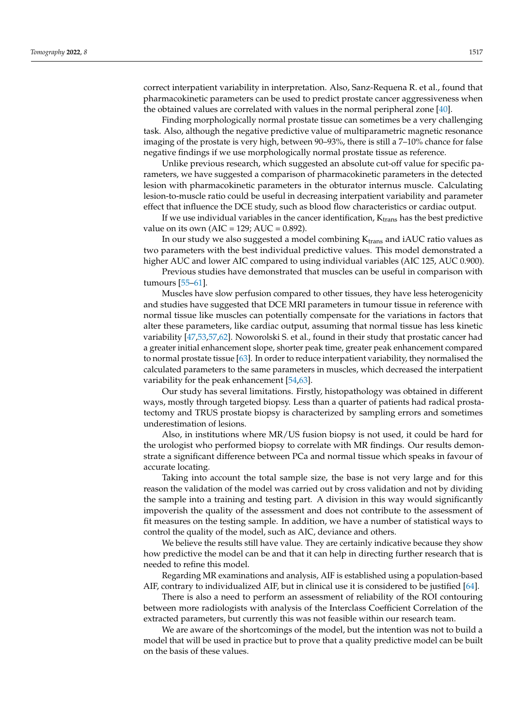correct interpatient variability in interpretation. Also, Sanz-Requena R. et al., found that pharmacokinetic parameters can be used to predict prostate cancer aggressiveness when the obtained values are correlated with values in the normal peripheral zone [\[40\]](#page-11-13).

Finding morphologically normal prostate tissue can sometimes be a very challenging task. Also, although the negative predictive value of multiparametric magnetic resonance imaging of the prostate is very high, between 90–93%, there is still a 7–10% chance for false negative findings if we use morphologically normal prostate tissue as reference.

Unlike previous research, which suggested an absolute cut-off value for specific parameters, we have suggested a comparison of pharmacokinetic parameters in the detected lesion with pharmacokinetic parameters in the obturator internus muscle. Calculating lesion-to-muscle ratio could be useful in decreasing interpatient variability and parameter effect that influence the DCE study, such as blood flow characteristics or cardiac output.

If we use individual variables in the cancer identification,  $K_{trans}$  has the best predictive value on its own (AIC = 129; AUC =  $0.892$ ).

In our study we also suggested a model combining  $K_{trans}$  and iAUC ratio values as two parameters with the best individual predictive values. This model demonstrated a higher AUC and lower AIC compared to using individual variables (AIC 125, AUC 0.900).

Previous studies have demonstrated that muscles can be useful in comparison with tumours [\[55–](#page-12-7)[61\]](#page-12-8).

Muscles have slow perfusion compared to other tissues, they have less heterogenicity and studies have suggested that DCE MRI parameters in tumour tissue in reference with normal tissue like muscles can potentially compensate for the variations in factors that alter these parameters, like cardiac output, assuming that normal tissue has less kinetic variability [\[47,](#page-12-9)[53,](#page-12-5)[57,](#page-12-10)[62\]](#page-12-11). Noworolski S. et al., found in their study that prostatic cancer had a greater initial enhancement slope, shorter peak time, greater peak enhancement compared to normal prostate tissue [\[63\]](#page-12-12). In order to reduce interpatient variability, they normalised the calculated parameters to the same parameters in muscles, which decreased the interpatient variability for the peak enhancement [\[54,](#page-12-6)[63\]](#page-12-12).

Our study has several limitations. Firstly, histopathology was obtained in different ways, mostly through targeted biopsy. Less than a quarter of patients had radical prostatectomy and TRUS prostate biopsy is characterized by sampling errors and sometimes underestimation of lesions.

Also, in institutions where MR/US fusion biopsy is not used, it could be hard for the urologist who performed biopsy to correlate with MR findings. Our results demonstrate a significant difference between PCa and normal tissue which speaks in favour of accurate locating.

Taking into account the total sample size, the base is not very large and for this reason the validation of the model was carried out by cross validation and not by dividing the sample into a training and testing part. A division in this way would significantly impoverish the quality of the assessment and does not contribute to the assessment of fit measures on the testing sample. In addition, we have a number of statistical ways to control the quality of the model, such as AIC, deviance and others.

We believe the results still have value. They are certainly indicative because they show how predictive the model can be and that it can help in directing further research that is needed to refine this model.

Regarding MR examinations and analysis, AIF is established using a population-based AIF, contrary to individualized AIF, but in clinical use it is considered to be justified [\[64\]](#page-12-13).

There is also a need to perform an assessment of reliability of the ROI contouring between more radiologists with analysis of the Interclass Coefficient Correlation of the extracted parameters, but currently this was not feasible within our research team.

We are aware of the shortcomings of the model, but the intention was not to build a model that will be used in practice but to prove that a quality predictive model can be built on the basis of these values.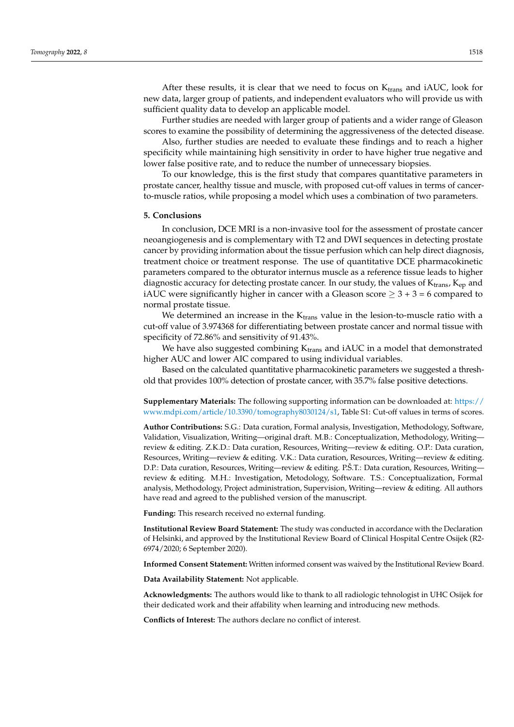After these results, it is clear that we need to focus on  $K_{trans}$  and  $IAUC$ , look for new data, larger group of patients, and independent evaluators who will provide us with sufficient quality data to develop an applicable model.

Further studies are needed with larger group of patients and a wider range of Gleason scores to examine the possibility of determining the aggressiveness of the detected disease.

Also, further studies are needed to evaluate these findings and to reach a higher specificity while maintaining high sensitivity in order to have higher true negative and lower false positive rate, and to reduce the number of unnecessary biopsies.

To our knowledge, this is the first study that compares quantitative parameters in prostate cancer, healthy tissue and muscle, with proposed cut-off values in terms of cancerto-muscle ratios, while proposing a model which uses a combination of two parameters.

#### **5. Conclusions**

In conclusion, DCE MRI is a non-invasive tool for the assessment of prostate cancer neoangiogenesis and is complementary with T2 and DWI sequences in detecting prostate cancer by providing information about the tissue perfusion which can help direct diagnosis, treatment choice or treatment response. The use of quantitative DCE pharmacokinetic parameters compared to the obturator internus muscle as a reference tissue leads to higher diagnostic accuracy for detecting prostate cancer. In our study, the values of K<sub>trans</sub>, K<sub>ep</sub> and iAUC were significantly higher in cancer with a Gleason score  $\geq 3 + 3 = 6$  compared to normal prostate tissue.

We determined an increase in the  $K<sub>trans</sub>$  value in the lesion-to-muscle ratio with a cut-off value of 3.974368 for differentiating between prostate cancer and normal tissue with specificity of 72.86% and sensitivity of 91.43%.

We have also suggested combining  $K_{trans}$  and iAUC in a model that demonstrated higher AUC and lower AIC compared to using individual variables.

Based on the calculated quantitative pharmacokinetic parameters we suggested a threshold that provides 100% detection of prostate cancer, with 35.7% false positive detections.

**Supplementary Materials:** The following supporting information can be downloaded at: [https://](https://www.mdpi.com/article/10.3390/tomography8030124/s1) [www.mdpi.com/article/10.3390/tomography8030124/s1,](https://www.mdpi.com/article/10.3390/tomography8030124/s1) Table S1: Cut-off values in terms of scores.

**Author Contributions:** S.G.: Data curation, Formal analysis, Investigation, Methodology, Software, Validation, Visualization, Writing—original draft. M.B.: Conceptualization, Methodology, Writing review & editing. Z.K.D.: Data curation, Resources, Writing—review & editing. O.P.: Data curation, Resources, Writing—review & editing. V.K.: Data curation, Resources, Writing—review & editing. D.P.: Data curation, Resources, Writing—review & editing. P.Š.T.: Data curation, Resources, Writing review & editing. M.H.: Investigation, Metodology, Software. T.S.: Conceptualization, Formal analysis, Methodology, Project administration, Supervision, Writing—review & editing. All authors have read and agreed to the published version of the manuscript.

**Funding:** This research received no external funding.

**Institutional Review Board Statement:** The study was conducted in accordance with the Declaration of Helsinki, and approved by the Institutional Review Board of Clinical Hospital Centre Osijek (R2- 6974/2020; 6 September 2020).

**Informed Consent Statement:** Written informed consent was waived by the Institutional Review Board.

**Data Availability Statement:** Not applicable.

**Acknowledgments:** The authors would like to thank to all radiologic tehnologist in UHC Osijek for their dedicated work and their affability when learning and introducing new methods.

**Conflicts of Interest:** The authors declare no conflict of interest.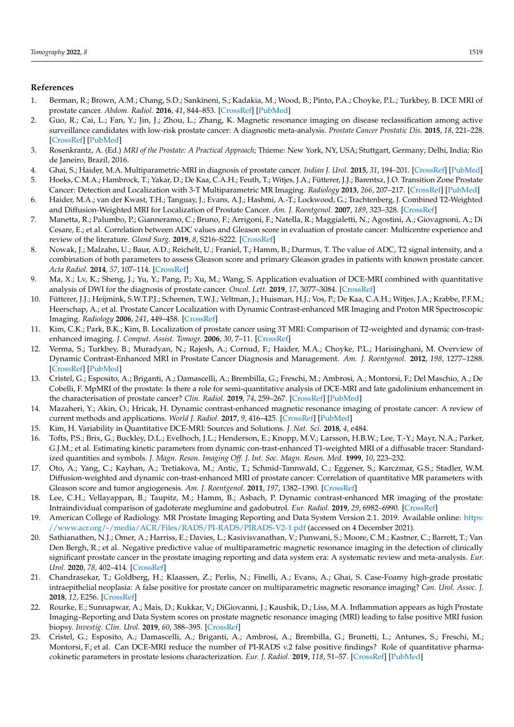# **References**

- <span id="page-10-0"></span>1. Berman, R.; Brown, A.M.; Chang, S.D.; Sankineni, S.; Kadakia, M.; Wood, B.; Pinto, P.A.; Choyke, P.L.; Turkbey, B. DCE MRI of prostate cancer. *Abdom. Radiol.* **2016**, *41*, 844–853. [\[CrossRef\]](http://doi.org/10.1007/s00261-015-0589-3) [\[PubMed\]](http://www.ncbi.nlm.nih.gov/pubmed/27193787)
- <span id="page-10-1"></span>2. Guo, R.; Cai, L.; Fan, Y.; Jin, J.; Zhou, L.; Zhang, K. Magnetic resonance imaging on disease reclassification among active surveillance candidates with low-risk prostate cancer: A diagnostic meta-analysis. *Prostate Cancer Prostatic Dis.* **2015**, *18*, 221–228. [\[CrossRef\]](http://doi.org/10.1038/pcan.2015.20) [\[PubMed\]](http://www.ncbi.nlm.nih.gov/pubmed/25986915)
- <span id="page-10-2"></span>3. Rosenkrantz, A. (Ed.) *MRI of the Prostate: A Practical Approach*; Thieme: New York, NY, USA; Stuttgart, Germany; Delhi, India; Rio de Janeiro, Brazil, 2016.
- <span id="page-10-3"></span>4. Ghai, S.; Haider, M.A. Multiparametric-MRI in diagnosis of prostate cancer. *Indian J. Urol.* **2015**, *31*, 194–201. [\[CrossRef\]](http://doi.org/10.4103/0970-1591.159606) [\[PubMed\]](http://www.ncbi.nlm.nih.gov/pubmed/26166962)
- <span id="page-10-4"></span>5. Hoeks, C.M.A.; Hambrock, T.; Yakar, D.; De Kaa, C.A.H.; Feuth, T.; Witjes, J.A.; Fütterer, J.J.; Barentsz, J.O. Transition Zone Prostate Cancer: Detection and Localization with 3-T Multiparametric MR Imaging. *Radiology* **2013**, *266*, 207–217. [\[CrossRef\]](http://doi.org/10.1148/radiol.12120281) [\[PubMed\]](http://www.ncbi.nlm.nih.gov/pubmed/23143029)
- <span id="page-10-5"></span>6. Haider, M.A.; van der Kwast, T.H.; Tanguay, J.; Evans, A.J.; Hashmi, A.-T.; Lockwood, G.; Trachtenberg, J. Combined T2-Weighted and Diffusion-Weighted MRI for Localization of Prostate Cancer. *Am. J. Roentgenol.* **2007**, *189*, 323–328. [\[CrossRef\]](http://doi.org/10.2214/AJR.07.2211)
- 7. Manetta, R.; Palumbo, P.; Gianneramo, C.; Bruno, F.; Arrigoni, F.; Natella, R.; Maggialetti, N.; Agostini, A.; Giovagnoni, A.; Di Cesare, E.; et al. Correlation between ADC values and Gleason score in evaluation of prostate cancer: Multicentre experience and review of the literature. *Gland Surg.* **2019**, *8*, S216–S222. [\[CrossRef\]](http://doi.org/10.21037/gs.2019.05.02)
- <span id="page-10-6"></span>8. Nowak, J.; Malzahn, U.; Baur, A.D.; Reichelt, U.; Franiel, T.; Hamm, B.; Durmus, T. The value of ADC, T2 signal intensity, and a combination of both parameters to assess Gleason score and primary Gleason grades in patients with known prostate cancer. *Acta Radiol.* **2014**, *57*, 107–114. [\[CrossRef\]](http://doi.org/10.1177/0284185114561915)
- <span id="page-10-7"></span>9. Ma, X.; Lv, K.; Sheng, J.; Yu, Y.; Pang, P.; Xu, M.; Wang, S. Application evaluation of DCE-MRI combined with quantitative analysis of DWI for the diagnosis of prostate cancer. *Oncol. Lett.* **2019**, *17*, 3077–3084. [\[CrossRef\]](http://doi.org/10.3892/ol.2019.9988)
- <span id="page-10-8"></span>10. Fütterer, J.J.; Heijmink, S.W.T.P.J.; Scheenen, T.W.J.; Veltman, J.; Huisman, H.J.; Vos, P.; De Kaa, C.A.H.; Witjes, J.A.; Krabbe, P.F.M.; Heerschap, A.; et al. Prostate Cancer Localization with Dynamic Contrast-enhanced MR Imaging and Proton MR Spectroscopic Imaging. *Radiology* **2006**, *241*, 449–458. [\[CrossRef\]](http://doi.org/10.1148/radiol.2412051866)
- <span id="page-10-9"></span>11. Kim, C.K.; Park, B.K.; Kim, B. Localization of prostate cancer using 3T MRI: Comparison of T2-weighted and dynamic con-trastenhanced imaging. *J. Comput. Assist. Tomogr.* **2006**, *30*, 7–11. [\[CrossRef\]](http://doi.org/10.1097/01.rct.0000185384.27765.09)
- <span id="page-10-10"></span>12. Verma, S.; Turkbey, B.; Muradyan, N.; Rajesh, A.; Cornud, F.; Haider, M.A.; Choyke, P.L.; Harisinghani, M. Overview of Dynamic Contrast-Enhanced MRI in Prostate Cancer Diagnosis and Management. *Am. J. Roentgenol.* **2012**, *198*, 1277–1288. [\[CrossRef\]](http://doi.org/10.2214/AJR.12.8510) [\[PubMed\]](http://www.ncbi.nlm.nih.gov/pubmed/22623539)
- <span id="page-10-11"></span>13. Cristel, G.; Esposito, A.; Briganti, A.; Damascelli, A.; Brembilla, G.; Freschi, M.; Ambrosi, A.; Montorsi, F.; Del Maschio, A.; De Cobelli, F. MpMRI of the prostate: Is there a role for semi-quantitative analysis of DCE-MRI and late gadolinium enhancement in the characterisation of prostate cancer? *Clin. Radiol.* **2019**, *74*, 259–267. [\[CrossRef\]](http://doi.org/10.1016/j.crad.2018.08.017) [\[PubMed\]](http://www.ncbi.nlm.nih.gov/pubmed/30739715)
- <span id="page-10-12"></span>14. Mazaheri, Y.; Akin, O.; Hricak, H. Dynamic contrast-enhanced magnetic resonance imaging of prostate cancer: A review of current methods and applications. *World J. Radiol.* **2017**, *9*, 416–425. [\[CrossRef\]](http://doi.org/10.4329/wjr.v9.i12.416) [\[PubMed\]](http://www.ncbi.nlm.nih.gov/pubmed/29354207)
- <span id="page-10-13"></span>15. Kim, H. Variability in Quantitative DCE-MRI: Sources and Solutions. *J. Nat. Sci.* **2018**, *4*, e484.
- <span id="page-10-14"></span>16. Tofts, P.S.; Brix, G.; Buckley, D.L.; Evelhoch, J.L.; Henderson, E.; Knopp, M.V.; Larsson, H.B.W.; Lee, T.-Y.; Mayr, N.A.; Parker, G.J.M.; et al. Estimating kinetic parameters from dynamic con-trast-enhanced T1-weighted MRI of a diffusable tracer: Standardized quantities and symbols. *J. Magn. Reson. Imaging Off. J. Int. Soc. Magn. Reson. Med.* **1999**, *10*, 223–232.
- <span id="page-10-15"></span>17. Oto, A.; Yang, C.; Kayhan, A.; Tretiakova, M.; Antic, T.; Schmid-Tannwald, C.; Eggener, S.; Karczmar, G.S.; Stadler, W.M. Diffusion-weighted and dynamic con-trast-enhanced MRI of prostate cancer: Correlation of quantitative MR parameters with Gleason score and tumor angiogenesis. *Am. J. Roentgenol.* **2011**, *197*, 1382–1390. [\[CrossRef\]](http://doi.org/10.2214/AJR.11.6861)
- <span id="page-10-16"></span>18. Lee, C.H.; Vellayappan, B.; Taupitz, M.; Hamm, B.; Asbach, P. Dynamic contrast-enhanced MR imaging of the prostate: Intraindividual comparison of gadoterate meglumine and gadobutrol. *Eur. Radiol.* **2019**, *29*, 6982–6990. [\[CrossRef\]](http://doi.org/10.1007/s00330-019-06321-6)
- <span id="page-10-17"></span>19. American College of Radiology. MR Prostate Imaging Reporting and Data System Version 2.1. 2019. Available online: [https:](https://www.acr.org/-/media/ACR/Files/RADS/PI-RADS/PIRADS-V2-1.pdf) [//www.acr.org/-/media/ACR/Files/RADS/PI-RADS/PIRADS-V2-1.pdf](https://www.acr.org/-/media/ACR/Files/RADS/PI-RADS/PIRADS-V2-1.pdf) (accessed on 4 December 2021).
- <span id="page-10-18"></span>20. Sathianathen, N.J.; Omer, A.; Harriss, E.; Davies, L.; Kasivisvanathan, V.; Punwani, S.; Moore, C.M.; Kastner, C.; Barrett, T.; Van Den Bergh, R.; et al. Negative predictive value of multiparametric magnetic resonance imaging in the detection of clinically significant prostate cancer in the prostate imaging reporting and data system era: A systematic review and meta-analysis. *Eur. Urol.* **2020**, *78*, 402–414. [\[CrossRef\]](http://doi.org/10.1016/j.eururo.2020.03.048)
- 21. Chandrasekar, T.; Goldberg, H.; Klaassen, Z.; Perlis, N.; Finelli, A.; Evans, A.; Ghai, S. Case-Foamy high-grade prostatic intraepithelial neoplasia: A false positive for prostate cancer on multiparametric magnetic resonance imaging? *Can. Urol. Assoc. J.* **2018**, *12*, E256. [\[CrossRef\]](http://doi.org/10.5489/cuaj.4860)
- <span id="page-10-19"></span>22. Rourke, E.; Sunnapwar, A.; Mais, D.; Kukkar, V.; DiGiovanni, J.; Kaushik, D.; Liss, M.A. Inflammation appears as high Prostate Imaging–Reporting and Data System scores on prostate magnetic resonance imaging (MRI) leading to false positive MRI fusion biopsy. *Investig. Clin. Urol.* **2019**, *60*, 388–395. [\[CrossRef\]](http://doi.org/10.4111/icu.2019.60.5.388)
- <span id="page-10-20"></span>23. Cristel, G.; Esposito, A.; Damascelli, A.; Briganti, A.; Ambrosi, A.; Brembilla, G.; Brunetti, L.; Antunes, S.; Freschi, M.; Montorsi, F.; et al. Can DCE-MRI reduce the number of PI-RADS v.2 false positive findings? Role of quantitative pharmacokinetic parameters in prostate lesions characterization. *Eur. J. Radiol.* **2019**, *118*, 51–57. [\[CrossRef\]](http://doi.org/10.1016/j.ejrad.2019.07.002) [\[PubMed\]](http://www.ncbi.nlm.nih.gov/pubmed/31439258)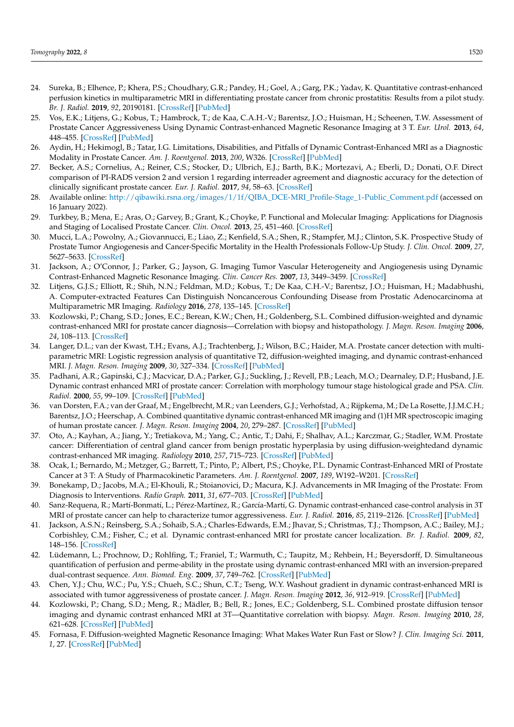- 24. Sureka, B.; Elhence, P.; Khera, P.S.; Choudhary, G.R.; Pandey, H.; Goel, A.; Garg, P.K.; Yadav, K. Quantitative contrast-enhanced perfusion kinetics in multiparametric MRI in differentiating prostate cancer from chronic prostatitis: Results from a pilot study. *Br. J. Radiol.* **2019**, *92*, 20190181. [\[CrossRef\]](http://doi.org/10.1259/bjr.20190181) [\[PubMed\]](http://www.ncbi.nlm.nih.gov/pubmed/31184934)
- <span id="page-11-0"></span>25. Vos, E.K.; Litjens, G.; Kobus, T.; Hambrock, T.; de Kaa, C.A.H.-V.; Barentsz, J.O.; Huisman, H.; Scheenen, T.W. Assessment of Prostate Cancer Aggressiveness Using Dynamic Contrast-enhanced Magnetic Resonance Imaging at 3 T. *Eur. Urol.* **2013**, *64*, 448–455. [\[CrossRef\]](http://doi.org/10.1016/j.eururo.2013.05.045) [\[PubMed\]](http://www.ncbi.nlm.nih.gov/pubmed/23751135)
- <span id="page-11-1"></span>26. Aydin, H.; Hekimogl, B.; Tatar, I.G. Limitations, Disabilities, and Pitfalls of Dynamic Contrast-Enhanced MRI as a Diagnostic Modality in Prostate Cancer. *Am. J. Roentgenol.* **2013**, *200*, W326. [\[CrossRef\]](http://doi.org/10.2214/AJR.12.9583) [\[PubMed\]](http://www.ncbi.nlm.nih.gov/pubmed/23436880)
- <span id="page-11-2"></span>27. Becker, A.S.; Cornelius, A.; Reiner, C.S.; Stocker, D.; Ulbrich, E.J.; Barth, B.K.; Mortezavi, A.; Eberli, D.; Donati, O.F. Direct comparison of PI-RADS version 2 and version 1 regarding interreader agreement and diagnostic accuracy for the detection of clinically significant prostate cancer. *Eur. J. Radiol.* **2017**, *94*, 58–63. [\[CrossRef\]](http://doi.org/10.1016/j.ejrad.2017.07.016)
- <span id="page-11-3"></span>28. Available online: [http://qibawiki.rsna.org/images/1/1f/QIBA\\_DCE-MRI\\_Profile-Stage\\_1-Public\\_Comment.pdf](http://qibawiki.rsna.org/images/1/1f/QIBA_DCE-MRI_Profile-Stage_1-Public_Comment.pdf) (accessed on 16 January 2022).
- <span id="page-11-4"></span>29. Turkbey, B.; Mena, E.; Aras, O.; Garvey, B.; Grant, K.; Choyke, P. Functional and Molecular Imaging: Applications for Diagnosis and Staging of Localised Prostate Cancer. *Clin. Oncol.* **2013**, *25*, 451–460. [\[CrossRef\]](http://doi.org/10.1016/j.clon.2013.05.001)
- <span id="page-11-5"></span>30. Mucci, L.A.; Powolny, A.; Giovannucci, E.; Liao, Z.; Kenfield, S.A.; Shen, R.; Stampfer, M.J.; Clinton, S.K. Prospective Study of Prostate Tumor Angiogenesis and Cancer-Specific Mortality in the Health Professionals Follow-Up Study. *J. Clin. Oncol.* **2009**, *27*, 5627–5633. [\[CrossRef\]](http://doi.org/10.1200/JCO.2008.20.8876)
- <span id="page-11-6"></span>31. Jackson, A.; O'Connor, J.; Parker, G.; Jayson, G. Imaging Tumor Vascular Heterogeneity and Angiogenesis using Dynamic Contrast-Enhanced Magnetic Resonance Imaging. *Clin. Cancer Res.* **2007**, *13*, 3449–3459. [\[CrossRef\]](http://doi.org/10.1158/1078-0432.CCR-07-0238)
- <span id="page-11-7"></span>32. Litjens, G.J.S.; Elliott, R.; Shih, N.N.; Feldman, M.D.; Kobus, T.; De Kaa, C.H.-V.; Barentsz, J.O.; Huisman, H.; Madabhushi, A. Computer-extracted Features Can Distinguish Noncancerous Confounding Disease from Prostatic Adenocarcinoma at Multiparametric MR Imaging. *Radiology* **2016**, *278*, 135–145. [\[CrossRef\]](http://doi.org/10.1148/radiol.2015142856)
- 33. Kozlowski, P.; Chang, S.D.; Jones, E.C.; Berean, K.W.; Chen, H.; Goldenberg, S.L. Combined diffusion-weighted and dynamic contrast-enhanced MRI for prostate cancer diagnosis—Correlation with biopsy and histopathology. *J. Magn. Reson. Imaging* **2006**, *24*, 108–113. [\[CrossRef\]](http://doi.org/10.1002/jmri.20626)
- 34. Langer, D.L.; van der Kwast, T.H.; Evans, A.J.; Trachtenberg, J.; Wilson, B.C.; Haider, M.A. Prostate cancer detection with multiparametric MRI: Logistic regression analysis of quantitative T2, diffusion-weighted imaging, and dynamic contrast-enhanced MRI. *J. Magn. Reson. Imaging* **2009**, *30*, 327–334. [\[CrossRef\]](http://doi.org/10.1002/jmri.21824) [\[PubMed\]](http://www.ncbi.nlm.nih.gov/pubmed/19629981)
- <span id="page-11-9"></span>35. Padhani, A.R.; Gapinski, C.J.; Macvicar, D.A.; Parker, G.J.; Suckling, J.; Revell, P.B.; Leach, M.O.; Dearnaley, D.P.; Husband, J.E. Dynamic contrast enhanced MRI of prostate cancer: Correlation with morphology tumour stage histological grade and PSA. *Clin. Radiol.* **2000**, *55*, 99–109. [\[CrossRef\]](http://doi.org/10.1053/crad.1999.0327) [\[PubMed\]](http://www.ncbi.nlm.nih.gov/pubmed/10657154)
- <span id="page-11-8"></span>36. van Dorsten, F.A.; van der Graaf, M.; Engelbrecht, M.R.; van Leenders, G.J.; Verhofstad, A.; Rijpkema, M.; De La Rosette, J.J.M.C.H.; Barentsz, J.O.; Heerschap, A. Combined quantitative dynamic contrast-enhanced MR imaging and (1)H MR spectroscopic imaging of human prostate cancer. *J. Magn. Reson. Imaging* **2004**, *20*, 279–287. [\[CrossRef\]](http://doi.org/10.1002/jmri.20113) [\[PubMed\]](http://www.ncbi.nlm.nih.gov/pubmed/15269954)
- <span id="page-11-10"></span>37. Oto, A.; Kayhan, A.; Jiang, Y.; Tretiakova, M.; Yang, C.; Antic, T.; Dahi, F.; Shalhav, A.L.; Karczmar, G.; Stadler, W.M. Prostate cancer: Differentiation of central gland cancer from benign prostatic hyperplasia by using diffusion-weightedand dynamic contrast-enhanced MR imaging. *Radiology* **2010**, *257*, 715–723. [\[CrossRef\]](http://doi.org/10.1148/radiol.10100021) [\[PubMed\]](http://www.ncbi.nlm.nih.gov/pubmed/20843992)
- <span id="page-11-11"></span>38. Ocak, I.; Bernardo, M.; Metzger, G.; Barrett, T.; Pinto, P.; Albert, P.S.; Choyke, P.L. Dynamic Contrast-Enhanced MRI of Prostate Cancer at 3 T: A Study of Pharmacokinetic Parameters. *Am. J. Roentgenol.* **2007**, *189*, W192–W201. [\[CrossRef\]](http://doi.org/10.2214/AJR.06.1329)
- <span id="page-11-12"></span>39. Bonekamp, D.; Jacobs, M.A.; El-Khouli, R.; Stoianovici, D.; Macura, K.J. Advancements in MR Imaging of the Prostate: From Diagnosis to Interventions. *Radio Graph.* **2011**, *31*, 677–703. [\[CrossRef\]](http://doi.org/10.1148/rg.313105139) [\[PubMed\]](http://www.ncbi.nlm.nih.gov/pubmed/21571651)
- <span id="page-11-13"></span>40. Sanz-Requena, R.; Martí-Bonmatí, L.; Pérez-Martínez, R.; García-Martí, G. Dynamic contrast-enhanced case-control analysis in 3T MRI of prostate cancer can help to characterize tumor aggressiveness. *Eur. J. Radiol.* **2016**, *85*, 2119–2126. [\[CrossRef\]](http://doi.org/10.1016/j.ejrad.2016.09.022) [\[PubMed\]](http://www.ncbi.nlm.nih.gov/pubmed/27776667)
- <span id="page-11-14"></span>41. Jackson, A.S.N.; Reinsberg, S.A.; Sohaib, S.A.; Charles-Edwards, E.M.; Jhavar, S.; Christmas, T.J.; Thompson, A.C.; Bailey, M.J.; Corbishley, C.M.; Fisher, C.; et al. Dynamic contrast-enhanced MRI for prostate cancer localization. *Br. J. Radiol.* **2009**, *82*, 148–156. [\[CrossRef\]](http://doi.org/10.1259/bjr/89518905)
- <span id="page-11-15"></span>42. Lüdemann, L.; Prochnow, D.; Rohlfing, T.; Franiel, T.; Warmuth, C.; Taupitz, M.; Rehbein, H.; Beyersdorff, D. Simultaneous quantification of perfusion and perme-ability in the prostate using dynamic contrast-enhanced MRI with an inversion-prepared dual-contrast sequence. *Ann. Biomed. Eng.* **2009**, *37*, 749–762. [\[CrossRef\]](http://doi.org/10.1007/s10439-009-9645-x) [\[PubMed\]](http://www.ncbi.nlm.nih.gov/pubmed/19169821)
- <span id="page-11-16"></span>43. Chen, Y.J.; Chu, W.C.; Pu, Y.S.; Chueh, S.C.; Shun, C.T.; Tseng, W.Y. Washout gradient in dynamic contrast-enhanced MRI is associated with tumor aggressiveness of prostate cancer. *J. Magn. Reson. Imaging* **2012**, *36*, 912–919. [\[CrossRef\]](http://doi.org/10.1002/jmri.23723) [\[PubMed\]](http://www.ncbi.nlm.nih.gov/pubmed/22711415)
- <span id="page-11-17"></span>44. Kozlowski, P.; Chang, S.D.; Meng, R.; Mädler, B.; Bell, R.; Jones, E.C.; Goldenberg, S.L. Combined prostate diffusion tensor imaging and dynamic contrast enhanced MRI at 3T—Quantitative correlation with biopsy. *Magn. Reson. Imaging* **2010**, *28*, 621–628. [\[CrossRef\]](http://doi.org/10.1016/j.mri.2010.03.011) [\[PubMed\]](http://www.ncbi.nlm.nih.gov/pubmed/20392586)
- <span id="page-11-18"></span>45. Fornasa, F. Diffusion-weighted Magnetic Resonance Imaging: What Makes Water Run Fast or Slow? *J. Clin. Imaging Sci.* **2011**, *1*, 27. [\[CrossRef\]](http://doi.org/10.4103/2156-7514.81294) [\[PubMed\]](http://www.ncbi.nlm.nih.gov/pubmed/21966624)